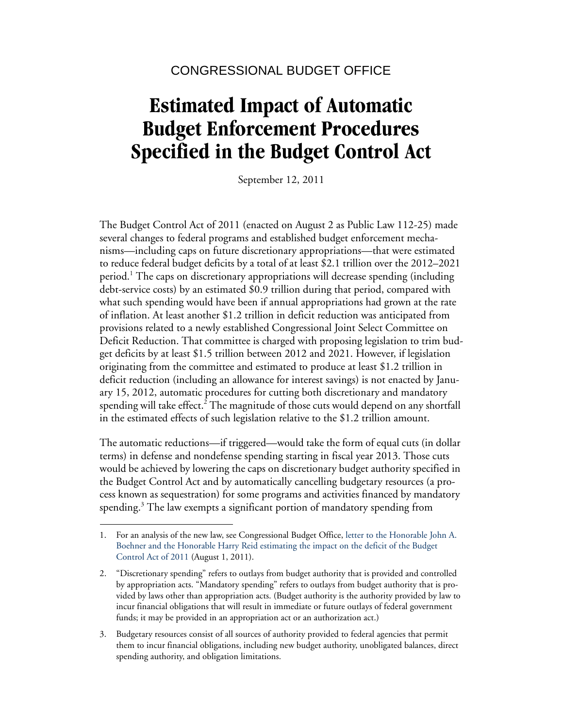# **Estimated Impact of Automatic Budget Enforcement Procedures Specified in the Budget Control Act**

September 12, 2011

The Budget Control Act of 2011 (enacted on August 2 as Public Law 112-25) made several changes to federal programs and established budget enforcement mechanisms—including caps on future discretionary appropriations—that were estimated to reduce federal budget deficits by a total of at least \$2.1 trillion over the 2012–2021 period.<sup>1</sup> The caps on discretionary appropriations will decrease spending (including debt-service costs) by an estimated \$0.9 trillion during that period, compared with what such spending would have been if annual appropriations had grown at the rate of inflation. At least another \$1.2 trillion in deficit reduction was anticipated from provisions related to a newly established Congressional Joint Select Committee on Deficit Reduction. That committee is charged with proposing legislation to trim budget deficits by at least \$1.5 trillion between 2012 and 2021. However, if legislation originating from the committee and estimated to produce at least \$1.2 trillion in deficit reduction (including an allowance for interest savings) is not enacted by January 15, 2012, automatic procedures for cutting both discretionary and mandatory spending will take effect.<sup>2</sup> The magnitude of those cuts would depend on any shortfall in the estimated effects of such legislation relative to the \$1.2 trillion amount.

The automatic reductions—if triggered—would take the form of equal cuts (in dollar terms) in defense and nondefense spending starting in fiscal year 2013. Those cuts would be achieved by lowering the caps on discretionary budget authority specified in the Budget Control Act and by automatically cancelling budgetary resources (a process known as sequestration) for some programs and activities financed by mandatory spending.<sup>3</sup> The law exempts a significant portion of mandatory spending from

<sup>1.</sup> For an analysis of the new law, see Congressional Budget Office, [letter to the Honorable John A.](http://www.cbo.gov/doc.cfm?index=12357)  [Boehner and the Honorable Harry Reid estimating the impact on the deficit of the Budget](http://www.cbo.gov/doc.cfm?index=12357)  [Control Act of 2011](http://www.cbo.gov/doc.cfm?index=12357) (August 1, 2011).

<sup>2. &</sup>quot;Discretionary spending" refers to outlays from budget authority that is provided and controlled by appropriation acts. "Mandatory spending" refers to outlays from budget authority that is provided by laws other than appropriation acts. (Budget authority is the authority provided by law to incur financial obligations that will result in immediate or future outlays of federal government funds; it may be provided in an appropriation act or an authorization act.)

<sup>3.</sup> Budgetary resources consist of all sources of authority provided to federal agencies that permit them to incur financial obligations, including new budget authority, unobligated balances, direct spending authority, and obligation limitations.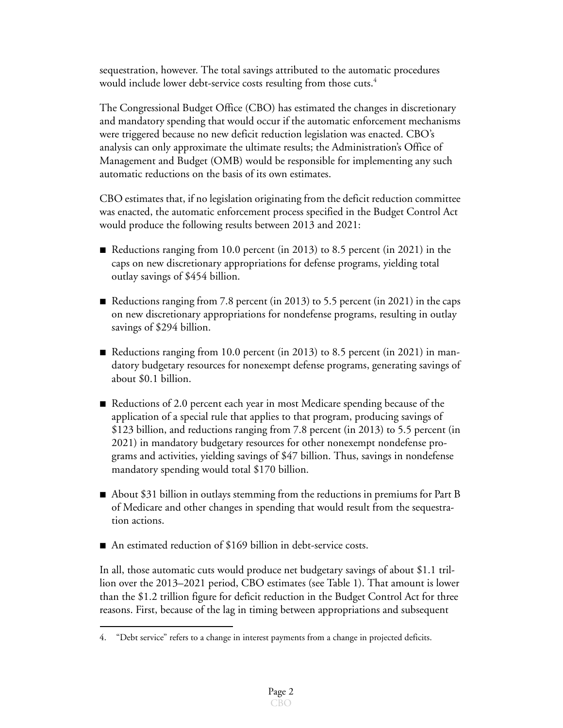sequestration, however. The total savings attributed to the automatic procedures would include lower debt-service costs resulting from those cuts.<sup>4</sup>

The Congressional Budget Office (CBO) has estimated the changes in discretionary and mandatory spending that would occur if the automatic enforcement mechanisms were triggered because no new deficit reduction legislation was enacted. CBO's analysis can only approximate the ultimate results; the Administration's Office of Management and Budget (OMB) would be responsible for implementing any such automatic reductions on the basis of its own estimates.

CBO estimates that, if no legislation originating from the deficit reduction committee was enacted, the automatic enforcement process specified in the Budget Control Act would produce the following results between 2013 and 2021:

- Reductions ranging from 10.0 percent (in 2013) to 8.5 percent (in 2021) in the caps on new discretionary appropriations for defense programs, yielding total outlay savings of \$454 billion.
- Reductions ranging from 7.8 percent (in 2013) to 5.5 percent (in 2021) in the caps on new discretionary appropriations for nondefense programs, resulting in outlay savings of \$294 billion.
- Reductions ranging from 10.0 percent (in 2013) to 8.5 percent (in 2021) in mandatory budgetary resources for nonexempt defense programs, generating savings of about \$0.1 billion.
- Reductions of 2.0 percent each year in most Medicare spending because of the application of a special rule that applies to that program, producing savings of \$123 billion, and reductions ranging from 7.8 percent (in 2013) to 5.5 percent (in 2021) in mandatory budgetary resources for other nonexempt nondefense programs and activities, yielding savings of \$47 billion. Thus, savings in nondefense mandatory spending would total \$170 billion.
- $\blacksquare$  About \$31 billion in outlays stemming from the reductions in premiums for Part B of Medicare and other changes in spending that would result from the sequestration actions.
- An estimated reduction of  $$169$  billion in debt-service costs.

In all, those automatic cuts would produce net budgetary savings of about \$1.1 trillion over the 2013–2021 period, CBO estimates (see [Table 1\)](#page-2-0). That amount is lower than the \$1.2 trillion figure for deficit reduction in the Budget Control Act for three reasons. First, because of the lag in timing between appropriations and subsequent

<sup>4. &</sup>quot;Debt service" refers to a change in interest payments from a change in projected deficits.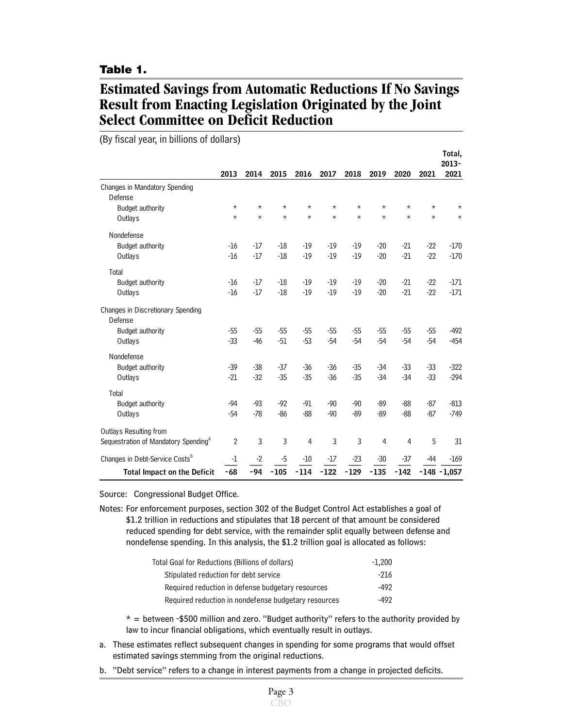### <span id="page-2-0"></span>**Table 1.**

# **Estimated Savings from Automatic Reductions If No Savings Result from Enacting Legislation Originated by the Joint Select Committee on Deficit Reduction**

(By fiscal year, in billions of dollars)

|                                                  |          |         |         |         |            |         |          |                |          | Total,         |
|--------------------------------------------------|----------|---------|---------|---------|------------|---------|----------|----------------|----------|----------------|
|                                                  |          |         |         |         |            |         |          |                |          | 2013-          |
|                                                  | 2013     | 2014    | 2015    | 2016    | 2017       | 2018    | 2019     | 2020           | 2021     | 2021           |
| Changes in Mandatory Spending                    |          |         |         |         |            |         |          |                |          |                |
| Defense                                          | $^\star$ | $\star$ | $\star$ | $\star$ | $^{\star}$ | $\star$ | $^\star$ | $^\star$       | $^\star$ | $^\star$       |
| Budget authority                                 | $\star$  | $\star$ | $\star$ | $\star$ | $\star$    | $\star$ | $\star$  | $\star$        | $\star$  | $\star$        |
| Outlays                                          |          |         |         |         |            |         |          |                |          |                |
| Nondefense                                       |          |         |         |         |            |         |          |                |          |                |
| Budget authority                                 | $-16$    | $-17$   | $-18$   | $-19$   | $-19$      | $-19$   | $-20$    | $-21$          | $-22$    | $-170$         |
| Outlays                                          | $-16$    | $-17$   | $-18$   | $-19$   | $-19$      | $-19$   | $-20$    | $-21$          | $-22$    | $-170$         |
| Total                                            |          |         |         |         |            |         |          |                |          |                |
| Budget authority                                 | $-16$    | -17     | $-18$   | -19     | $-19$      | $-19$   | $-20$    | $-21$          | $-22$    | -171           |
| Outlays                                          | $-16$    | $-17$   | $-18$   | $-19$   | $-19$      | $-19$   | $-20$    | $-21$          | $-22$    | $-171$         |
| Changes in Discretionary Spending                |          |         |         |         |            |         |          |                |          |                |
| Defense                                          |          |         |         |         |            |         |          |                |          |                |
| Budget authority                                 | $-55$    | $-55$   | $-55$   | $-55$   | $-55$      | $-55$   | $-55$    | -55            | $-55$    | $-492$         |
| Outlays                                          | $-33$    | $-46$   | $-51$   | $-53$   | $-54$      | $-54$   | $-54$    | $-54$          | $-54$    | $-454$         |
|                                                  |          |         |         |         |            |         |          |                |          |                |
| Nondefense                                       |          |         |         |         |            |         |          |                |          |                |
| Budget authority                                 | $-39$    | $-38$   | $-37$   | $-36$   | $-36$      | $-35$   | $-34$    | $-33$          | $-33$    | $-322$         |
| Outlays                                          | $-21$    | $-32$   | $-35$   | $-35$   | $-36$      | $-35$   | $-34$    | $-34$          | $-33$    | $-294$         |
| Total                                            |          |         |         |         |            |         |          |                |          |                |
| Budget authority                                 | $-94$    | $-93$   | $-92$   | $-91$   | $-90$      | $-90$   | $-89$    | $-88$          | $-87$    | $-813$         |
| Outlays                                          | $-54$    | $-78$   | $-86$   | $-88$   | $-90$      | $-89$   | $-89$    | $-88$          | $-87$    | $-749$         |
| Outlays Resulting from                           |          |         |         |         |            |         |          |                |          |                |
| Sequestration of Mandatory Spending <sup>a</sup> | 2        | 3       | 3       | 4       | 3          | 3       | 4        | $\overline{4}$ | 5        | 31             |
| Changes in Debt-Service Costs <sup>b</sup>       | $-1$     | $-2$    | $-5$    | $-10$   | $-17$      | $-23$   | $-30$    | $-37$          | -44      | $-169$         |
| <b>Total Impact on the Deficit</b>               | $-68$    | $-94$   | $-105$  | $-114$  | $-122$     | $-129$  | $-135$   | $-142$         |          | $-148 - 1,057$ |
|                                                  |          |         |         |         |            |         |          |                |          |                |

Source: Congressional Budget Office.

Notes: For enforcement purposes, section 302 of the Budget Control Act establishes a goal of \$1.2 trillion in reductions and stipulates that 18 percent of that amount be considered reduced spending for debt service, with the remainder split equally between defense and nondefense spending. In this analysis, the \$1.2 trillion goal is allocated as follows:

| Total Goal for Reductions (Billions of dollars)      | $-1.200$ |
|------------------------------------------------------|----------|
| Stipulated reduction for debt service                | -216     |
| Required reduction in defense budgetary resources    | -492     |
| Required reduction in nondefense budgetary resources | -492     |

 $* =$  between -\$500 million and zero. "Budget authority" refers to the authority provided by law to incur financial obligations, which eventually result in outlays.

- a. These estimates reflect subsequent changes in spending for some programs that would offset estimated savings stemming from the original reductions.
- b. "Debt service" refers to a change in interest payments from a change in projected deficits.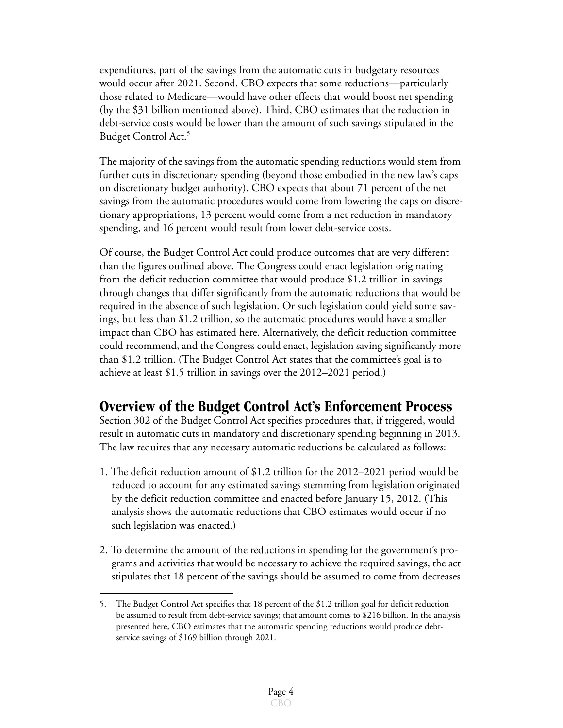expenditures, part of the savings from the automatic cuts in budgetary resources would occur after 2021. Second, CBO expects that some reductions—particularly those related to Medicare—would have other effects that would boost net spending (by the \$31 billion mentioned above). Third, CBO estimates that the reduction in debt-service costs would be lower than the amount of such savings stipulated in the Budget Control Act.<sup>5</sup>

The majority of the savings from the automatic spending reductions would stem from further cuts in discretionary spending (beyond those embodied in the new law's caps on discretionary budget authority). CBO expects that about 71 percent of the net savings from the automatic procedures would come from lowering the caps on discretionary appropriations, 13 percent would come from a net reduction in mandatory spending, and 16 percent would result from lower debt-service costs.

Of course, the Budget Control Act could produce outcomes that are very different than the figures outlined above. The Congress could enact legislation originating from the deficit reduction committee that would produce \$1.2 trillion in savings through changes that differ significantly from the automatic reductions that would be required in the absence of such legislation. Or such legislation could yield some savings, but less than \$1.2 trillion, so the automatic procedures would have a smaller impact than CBO has estimated here. Alternatively, the deficit reduction committee could recommend, and the Congress could enact, legislation saving significantly more than \$1.2 trillion. (The Budget Control Act states that the committee's goal is to achieve at least \$1.5 trillion in savings over the 2012–2021 period.)

## **Overview of the Budget Control Act's Enforcement Process**

Section 302 of the Budget Control Act specifies procedures that, if triggered, would result in automatic cuts in mandatory and discretionary spending beginning in 2013. The law requires that any necessary automatic reductions be calculated as follows:

- 1. The deficit reduction amount of \$1.2 trillion for the 2012–2021 period would be reduced to account for any estimated savings stemming from legislation originated by the deficit reduction committee and enacted before January 15, 2012. (This analysis shows the automatic reductions that CBO estimates would occur if no such legislation was enacted.)
- 2. To determine the amount of the reductions in spending for the government's programs and activities that would be necessary to achieve the required savings, the act stipulates that 18 percent of the savings should be assumed to come from decreases

<sup>5.</sup> The Budget Control Act specifies that 18 percent of the \$1.2 trillion goal for deficit reduction be assumed to result from debt-service savings; that amount comes to \$216 billion. In the analysis presented here, CBO estimates that the automatic spending reductions would produce debtservice savings of \$169 billion through 2021.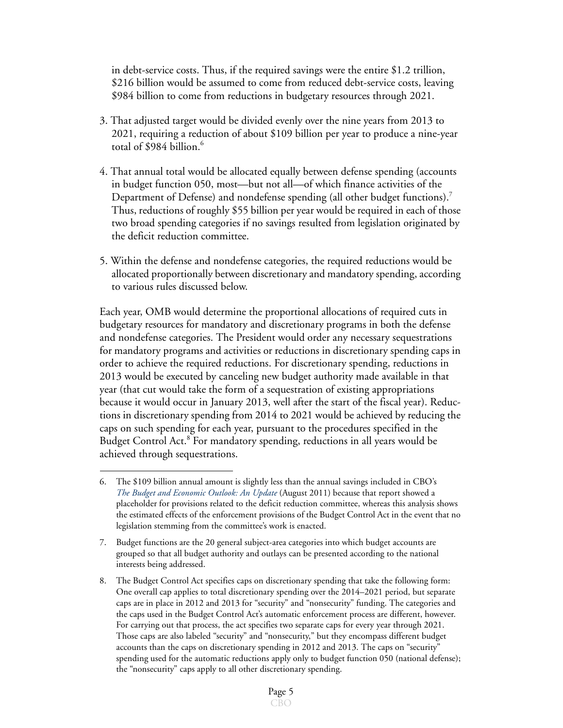in debt-service costs. Thus, if the required savings were the entire \$1.2 trillion, \$216 billion would be assumed to come from reduced debt-service costs, leaving \$984 billion to come from reductions in budgetary resources through 2021.

- 3. That adjusted target would be divided evenly over the nine years from 2013 to 2021, requiring a reduction of about \$109 billion per year to produce a nine-year total of \$984 billion.<sup>6</sup>
- 4. That annual total would be allocated equally between defense spending (accounts in budget function 050, most—but not all—of which finance activities of the Department of Defense) and nondefense spending (all other budget functions).<sup>7</sup> Thus, reductions of roughly \$55 billion per year would be required in each of those two broad spending categories if no savings resulted from legislation originated by the deficit reduction committee.
- 5. Within the defense and nondefense categories, the required reductions would be allocated proportionally between discretionary and mandatory spending, according to various rules discussed below.

Each year, OMB would determine the proportional allocations of required cuts in budgetary resources for mandatory and discretionary programs in both the defense and nondefense categories. The President would order any necessary sequestrations for mandatory programs and activities or reductions in discretionary spending caps in order to achieve the required reductions. For discretionary spending, reductions in 2013 would be executed by canceling new budget authority made available in that year (that cut would take the form of a sequestration of existing appropriations because it would occur in January 2013, well after the start of the fiscal year). Reductions in discretionary spending from 2014 to 2021 would be achieved by reducing the caps on such spending for each year, pursuant to the procedures specified in the Budget Control Act.<sup>8</sup> For mandatory spending, reductions in all years would be achieved through sequestrations.

<sup>6.</sup> The \$109 billion annual amount is slightly less than the annual savings included in CBO's *[The Budget and Economic Outlook: An Update](http://www.cbo.gov/doc.cfm?index=12316)* (August 2011) because that report showed a placeholder for provisions related to the deficit reduction committee, whereas this analysis shows the estimated effects of the enforcement provisions of the Budget Control Act in the event that no legislation stemming from the committee's work is enacted.

<sup>7.</sup> Budget functions are the 20 general subject-area categories into which budget accounts are grouped so that all budget authority and outlays can be presented according to the national interests being addressed.

<sup>8.</sup> The Budget Control Act specifies caps on discretionary spending that take the following form: One overall cap applies to total discretionary spending over the 2014–2021 period, but separate caps are in place in 2012 and 2013 for "security" and "nonsecurity" funding. The categories and the caps used in the Budget Control Act's automatic enforcement process are different, however. For carrying out that process, the act specifies two separate caps for every year through 2021. Those caps are also labeled "security" and "nonsecurity," but they encompass different budget accounts than the caps on discretionary spending in 2012 and 2013. The caps on "security" spending used for the automatic reductions apply only to budget function 050 (national defense); the "nonsecurity" caps apply to all other discretionary spending.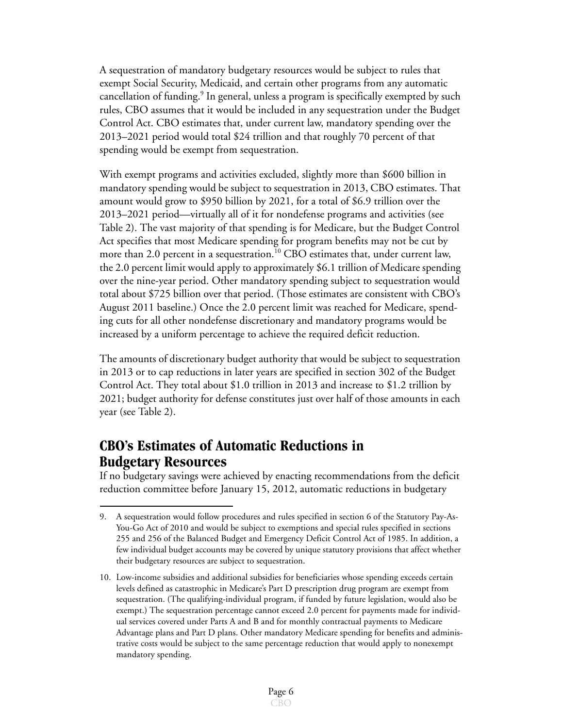A sequestration of mandatory budgetary resources would be subject to rules that exempt Social Security, Medicaid, and certain other programs from any automatic cancellation of funding.<sup>9</sup> In general, unless a program is specifically exempted by such rules, CBO assumes that it would be included in any sequestration under the Budget Control Act. CBO estimates that, under current law, mandatory spending over the 2013–2021 period would total \$24 trillion and that roughly 70 percent of that spending would be exempt from sequestration.

With exempt programs and activities excluded, slightly more than \$600 billion in mandatory spending would be subject to sequestration in 2013, CBO estimates. That amount would grow to \$950 billion by 2021, for a total of \$6.9 trillion over the 2013–2021 period—virtually all of it for nondefense programs and activities (see [Table 2\)](#page-6-0). The vast majority of that spending is for Medicare, but the Budget Control Act specifies that most Medicare spending for program benefits may not be cut by more than 2.0 percent in a sequestration.<sup>10</sup> CBO estimates that, under current law, the 2.0 percent limit would apply to approximately \$6.1 trillion of Medicare spending over the nine-year period. Other mandatory spending subject to sequestration would total about \$725 billion over that period. (Those estimates are consistent with CBO's August 2011 baseline.) Once the 2.0 percent limit was reached for Medicare, spending cuts for all other nondefense discretionary and mandatory programs would be increased by a uniform percentage to achieve the required deficit reduction.

The amounts of discretionary budget authority that would be subject to sequestration in 2013 or to cap reductions in later years are specified in section 302 of the Budget Control Act. They total about \$1.0 trillion in 2013 and increase to \$1.2 trillion by 2021; budget authority for defense constitutes just over half of those amounts in each year (see [Table 2](#page-6-0)).

# **CBO's Estimates of Automatic Reductions in Budgetary Resources**

If no budgetary savings were achieved by enacting recommendations from the deficit reduction committee before January 15, 2012, automatic reductions in budgetary

<sup>9.</sup> A sequestration would follow procedures and rules specified in section 6 of the Statutory Pay-As-You-Go Act of 2010 and would be subject to exemptions and special rules specified in sections 255 and 256 of the Balanced Budget and Emergency Deficit Control Act of 1985. In addition, a few individual budget accounts may be covered by unique statutory provisions that affect whether their budgetary resources are subject to sequestration.

<sup>10.</sup> Low-income subsidies and additional subsidies for beneficiaries whose spending exceeds certain levels defined as catastrophic in Medicare's Part D prescription drug program are exempt from sequestration. (The qualifying-individual program, if funded by future legislation, would also be exempt.) The sequestration percentage cannot exceed 2.0 percent for payments made for individual services covered under Parts A and B and for monthly contractual payments to Medicare Advantage plans and Part D plans. Other mandatory Medicare spending for benefits and administrative costs would be subject to the same percentage reduction that would apply to nonexempt mandatory spending.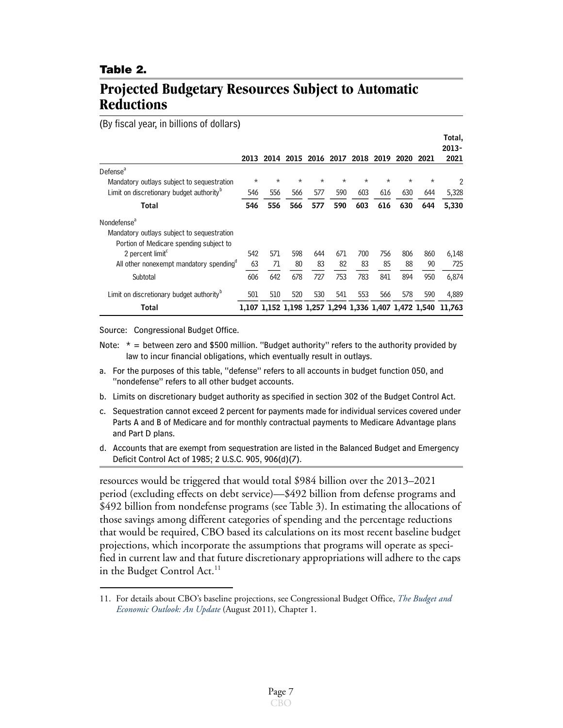#### <span id="page-6-0"></span>**Table 2.**

## **Projected Budgetary Resources Subject to Automatic Reductions**

(By fiscal year, in billions of dollars)

|                                                      |         |         |                                                       |          |          |          |           |          |          | Total,        |
|------------------------------------------------------|---------|---------|-------------------------------------------------------|----------|----------|----------|-----------|----------|----------|---------------|
|                                                      | 2013    |         | 2014 2015 2016 2017                                   |          |          |          | 2018 2019 | 2020     | 2021     | 2013-<br>2021 |
| Defense <sup>a</sup>                                 |         |         |                                                       |          |          |          |           |          |          |               |
| Mandatory outlays subject to sequestration           | $\star$ | $\star$ | $^\star$                                              | $^\star$ | $^\star$ | $^\star$ | $^\star$  | $^\star$ | $^\star$ | 2             |
| Limit on discretionary budget authority <sup>b</sup> | 546     | 556     | 566                                                   | 577      | 590      | 603      | 616       | 630      | 644      | 5,328         |
| Total                                                | 546     | 556     | 566                                                   | 577      | 590      | 603      | 616       | 630      | 644      | 5,330         |
| Nondefense <sup>a</sup>                              |         |         |                                                       |          |          |          |           |          |          |               |
| Mandatory outlays subject to sequestration           |         |         |                                                       |          |          |          |           |          |          |               |
| Portion of Medicare spending subject to              |         |         |                                                       |          |          |          |           |          |          |               |
| 2 percent limit <sup>c</sup>                         | 542     | 571     | 598                                                   | 644      | 671      | 700      | 756       | 806      | 860      | 6,148         |
| All other nonexempt mandatory spending <sup>o</sup>  | 63      | 71      | 80                                                    | 83       | 82       | 83       | 85        | 88       | 90       | 725           |
| Subtotal                                             | 606     | 642     | 678                                                   | 727      | 753      | 783      | 841       | 894      | 950      | 6,874         |
| Limit on discretionary budget authority <sup>b</sup> | 501     | 510     | 520                                                   | 530      | 541      | 553      | 566       | 578      | 590      | 4,889         |
| Total                                                |         |         | 1,107 1,152 1,198 1,257 1,294 1,336 1,407 1,472 1,540 |          |          |          |           |          |          | 11.763        |

Source: Congressional Budget Office.

- Note:  $* =$  between zero and \$500 million. "Budget authority" refers to the authority provided by law to incur financial obligations, which eventually result in outlays.
- a. For the purposes of this table, "defense" refers to all accounts in budget function 050, and "nondefense" refers to all other budget accounts.
- b. Limits on discretionary budget authority as specified in section 302 of the Budget Control Act.
- c. Sequestration cannot exceed 2 percent for payments made for individual services covered under Parts A and B of Medicare and for monthly contractual payments to Medicare Advantage plans and Part D plans.
- d. Accounts that are exempt from sequestration are listed in the Balanced Budget and Emergency Deficit Control Act of 1985; 2 U.S.C. 905, 906(d)(7).

resources would be triggered that would total \$984 billion over the 2013–2021 period (excluding effects on debt service)—\$492 billion from defense programs and \$492 billion from nondefense programs (see [Table 3](#page-7-0)). In estimating the allocations of those savings among different categories of spending and the percentage reductions that would be required, CBO based its calculations on its most recent baseline budget projections, which incorporate the assumptions that programs will operate as specified in current law and that future discretionary appropriations will adhere to the caps in the Budget Control Act.<sup>11</sup>

<sup>11.</sup> For details about CBO's baseline projections, see Congressional Budget Office, *[The Budget and](http://www.cbo.gov/doc.cfm?index=12316)  [Economic Outlook: An Update](http://www.cbo.gov/doc.cfm?index=12316)* (August 2011), Chapter 1.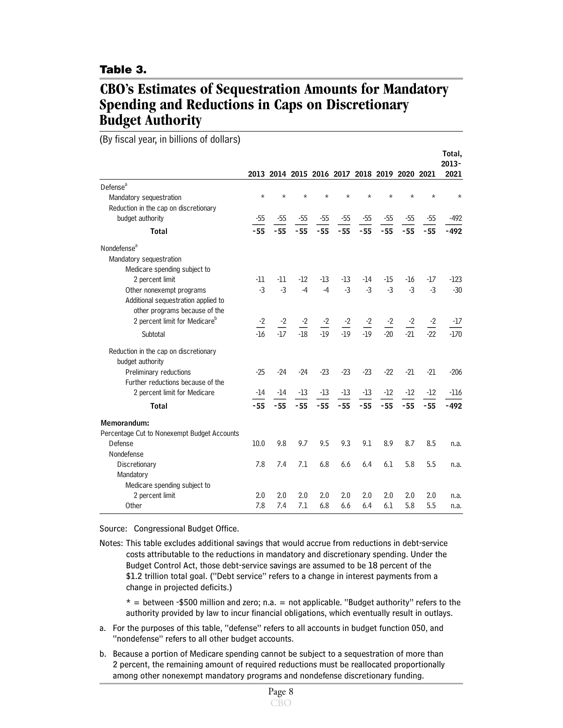#### <span id="page-7-0"></span>**Table 3.**

## **CBO's Estimates of Sequestration Amounts for Mandatory Spending and Reductions in Caps on Discretionary Budget Authority**

(By fiscal year, in billions of dollars)

|                                             |                       |                       |                                              |         |         |                                                    |                  |                  |                       | Total,<br>$2013 -$ |
|---------------------------------------------|-----------------------|-----------------------|----------------------------------------------|---------|---------|----------------------------------------------------|------------------|------------------|-----------------------|--------------------|
|                                             |                       |                       | 2013 2014 2015 2016 2017 2018 2019 2020 2021 |         |         |                                                    |                  |                  |                       | 2021               |
| Defense <sup>a</sup>                        |                       |                       |                                              |         |         |                                                    |                  |                  |                       |                    |
| Mandatory sequestration                     | $\star$               | $\star$               | $\star$                                      | $\star$ | $\star$ | $\star$                                            | $\star$          | $\star$          | $^\star$              | $\star$            |
| Reduction in the cap on discretionary       |                       |                       |                                              |         |         |                                                    |                  |                  |                       |                    |
| budget authority                            | $-55$                 | $-55$                 | $-55$                                        | $-55$   | $-55$   | $-55$                                              | $-55$            | $-55$            | $-55$                 | $-492$             |
| <b>Total</b>                                | $-55$                 | $-55$                 | $-55$                                        | $-55$   | $-55$   | $-55$                                              | $-55$            | $-55$            | $-55$                 | $-492$             |
| Nondefense <sup>a</sup>                     |                       |                       |                                              |         |         |                                                    |                  |                  |                       |                    |
| Mandatory sequestration                     |                       |                       |                                              |         |         |                                                    |                  |                  |                       |                    |
| Medicare spending subject to                |                       |                       |                                              |         |         |                                                    |                  |                  |                       |                    |
| 2 percent limit                             | $-11$                 | $-11$                 | $-12$                                        | $-13$   | $-13$   | $-14$                                              | $-15$            | $-16$            | $-17$                 | $-123$             |
| Other nonexempt programs                    | $-3$                  | $-3$                  | $-4$                                         | $-4$    | $-3$    | $-3$                                               | $-3$             | $-3$             | $-3$                  | $-30$              |
| Additional sequestration applied to         |                       |                       |                                              |         |         |                                                    |                  |                  |                       |                    |
| other programs because of the               |                       |                       |                                              |         |         |                                                    |                  |                  |                       |                    |
| 2 percent limit for Medicare <sup>b</sup>   | $\frac{-2}{\sqrt{2}}$ | $\frac{-2}{\sqrt{2}}$ | $\frac{-2}{\sqrt{2}}$                        |         |         | $\frac{-2}{-19}$ $\frac{-2}{-19}$ $\frac{-2}{-19}$ | $\frac{-2}{-20}$ | $\frac{-2}{-21}$ | $\frac{-2}{\sqrt{2}}$ | -17                |
| Subtotal                                    | $-16$                 | $-17$                 | $-18$                                        |         |         |                                                    |                  |                  | $-22$                 | $-170$             |
| Reduction in the cap on discretionary       |                       |                       |                                              |         |         |                                                    |                  |                  |                       |                    |
| budget authority                            |                       |                       |                                              |         |         |                                                    |                  |                  |                       |                    |
| Preliminary reductions                      | $-25$                 | $-24$                 | $-24$                                        | $-23$   | $-23$   | $-23$                                              | $-22$            | $-21$            | $-21$                 | $-206$             |
| Further reductions because of the           |                       |                       |                                              |         |         |                                                    |                  |                  |                       |                    |
| 2 percent limit for Medicare                | -14                   | $-14$                 | $-13$                                        | $-13$   | $-13$   | $-13$                                              | -12              | $-12$            | $-12$                 | $-116$             |
| <b>Total</b>                                | $-55$                 | $-55$                 | $-55$                                        | $-55$   | $-55$   | $-55$                                              | $-55$            | $-55$            | $-55$                 | $-492$             |
| Memorandum:                                 |                       |                       |                                              |         |         |                                                    |                  |                  |                       |                    |
| Percentage Cut to Nonexempt Budget Accounts |                       |                       |                                              |         |         |                                                    |                  |                  |                       |                    |
| Defense                                     | 10.0                  | 9.8                   | 9.7                                          | 9.5     | 9.3     | 9.1                                                | 8.9              | 8.7              | 8.5                   | n.a.               |
| Nondefense                                  |                       |                       |                                              |         |         |                                                    |                  |                  |                       |                    |
| Discretionary                               | 7.8                   | 7.4                   | 7.1                                          | 6.8     | 6.6     | 6.4                                                | 6.1              | 5.8              | 5.5                   | n.a.               |
| Mandatory                                   |                       |                       |                                              |         |         |                                                    |                  |                  |                       |                    |
| Medicare spending subject to                |                       |                       |                                              |         |         |                                                    |                  |                  |                       |                    |
| 2 percent limit                             | 2.0                   | 2.0                   | 2.0                                          | 2.0     | 2.0     | 2.0                                                | 2.0              | 2.0              | 2.0                   | n.a.               |
| Other                                       | 7.8                   | 7.4                   | 7.1                                          | 6.8     | 6.6     | 6.4                                                | 6.1              | 5.8              | 5.5                   | n.a.               |

Source: Congressional Budget Office.

Notes: This table excludes additional savings that would accrue from reductions in debt-service costs attributable to the reductions in mandatory and discretionary spending. Under the Budget Control Act, those debt-service savings are assumed to be 18 percent of the \$1.2 trillion total goal. ("Debt service" refers to a change in interest payments from a change in projected deficits.)

 $* =$  between -\$500 million and zero; n.a. = not applicable. "Budget authority" refers to the authority provided by law to incur financial obligations, which eventually result in outlays.

- a. For the purposes of this table, "defense" refers to all accounts in budget function 050, and "nondefense" refers to all other budget accounts.
- b. Because a portion of Medicare spending cannot be subject to a sequestration of more than 2 percent, the remaining amount of required reductions must be reallocated proportionally among other nonexempt mandatory programs and nondefense discretionary funding.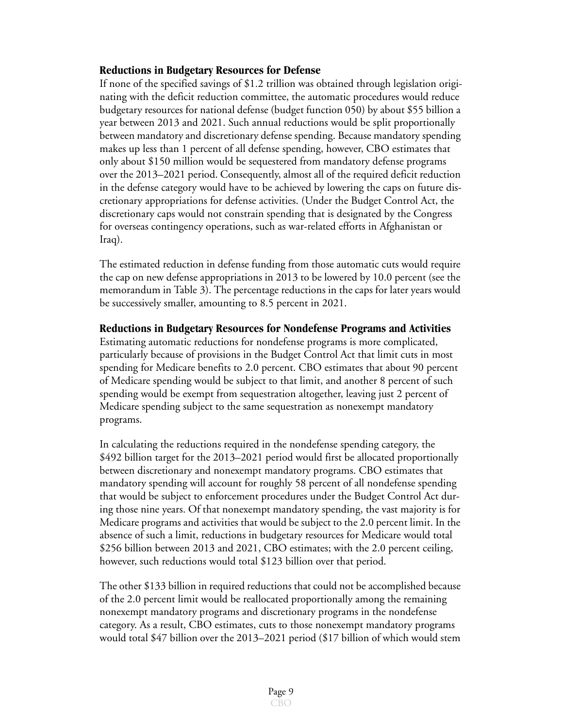### **Reductions in Budgetary Resources for Defense**

If none of the specified savings of \$1.2 trillion was obtained through legislation originating with the deficit reduction committee, the automatic procedures would reduce budgetary resources for national defense (budget function 050) by about \$55 billion a year between 2013 and 2021. Such annual reductions would be split proportionally between mandatory and discretionary defense spending. Because mandatory spending makes up less than 1 percent of all defense spending, however, CBO estimates that only about \$150 million would be sequestered from mandatory defense programs over the 2013–2021 period. Consequently, almost all of the required deficit reduction in the defense category would have to be achieved by lowering the caps on future discretionary appropriations for defense activities. (Under the Budget Control Act, the discretionary caps would not constrain spending that is designated by the Congress for overseas contingency operations, such as war-related efforts in Afghanistan or Iraq).

The estimated reduction in defense funding from those automatic cuts would require the cap on new defense appropriations in 2013 to be lowered by 10.0 percent (see the memorandum in [Table 3](#page-7-0)). The percentage reductions in the caps for later years would be successively smaller, amounting to 8.5 percent in 2021.

**Reductions in Budgetary Resources for Nondefense Programs and Activities**

Estimating automatic reductions for nondefense programs is more complicated, particularly because of provisions in the Budget Control Act that limit cuts in most spending for Medicare benefits to 2.0 percent. CBO estimates that about 90 percent of Medicare spending would be subject to that limit, and another 8 percent of such spending would be exempt from sequestration altogether, leaving just 2 percent of Medicare spending subject to the same sequestration as nonexempt mandatory programs.

In calculating the reductions required in the nondefense spending category, the \$492 billion target for the 2013–2021 period would first be allocated proportionally between discretionary and nonexempt mandatory programs. CBO estimates that mandatory spending will account for roughly 58 percent of all nondefense spending that would be subject to enforcement procedures under the Budget Control Act during those nine years. Of that nonexempt mandatory spending, the vast majority is for Medicare programs and activities that would be subject to the 2.0 percent limit. In the absence of such a limit, reductions in budgetary resources for Medicare would total \$256 billion between 2013 and 2021, CBO estimates; with the 2.0 percent ceiling, however, such reductions would total \$123 billion over that period.

The other \$133 billion in required reductions that could not be accomplished because of the 2.0 percent limit would be reallocated proportionally among the remaining nonexempt mandatory programs and discretionary programs in the nondefense category. As a result, CBO estimates, cuts to those nonexempt mandatory programs would total \$47 billion over the 2013–2021 period (\$17 billion of which would stem